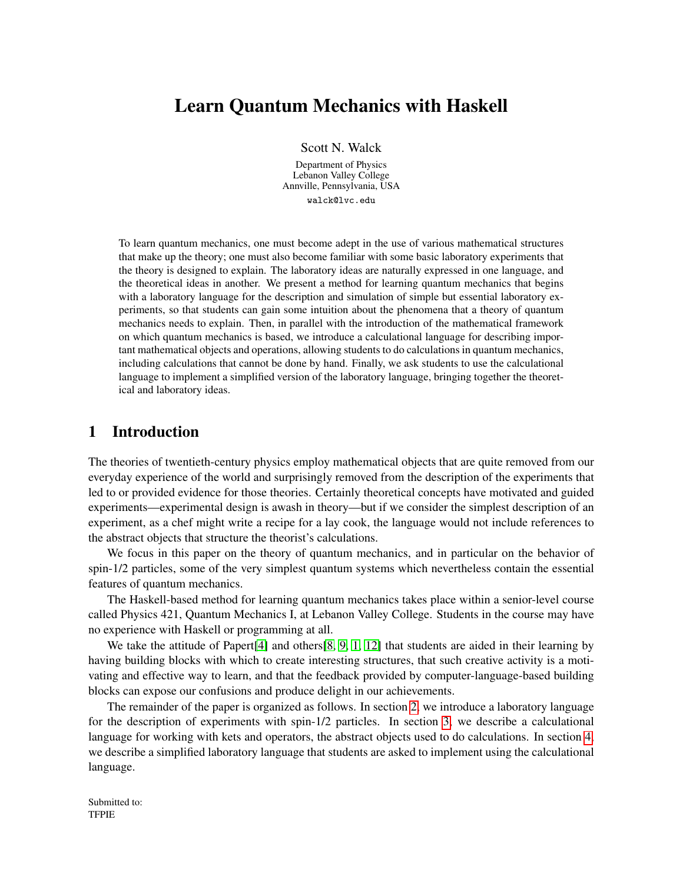# Learn Quantum Mechanics with Haskell

Scott N. Walck

Department of Physics Lebanon Valley College Annville, Pennsylvania, USA walck@lvc.edu

To learn quantum mechanics, one must become adept in the use of various mathematical structures that make up the theory; one must also become familiar with some basic laboratory experiments that the theory is designed to explain. The laboratory ideas are naturally expressed in one language, and the theoretical ideas in another. We present a method for learning quantum mechanics that begins with a laboratory language for the description and simulation of simple but essential laboratory experiments, so that students can gain some intuition about the phenomena that a theory of quantum mechanics needs to explain. Then, in parallel with the introduction of the mathematical framework on which quantum mechanics is based, we introduce a calculational language for describing important mathematical objects and operations, allowing students to do calculations in quantum mechanics, including calculations that cannot be done by hand. Finally, we ask students to use the calculational language to implement a simplified version of the laboratory language, bringing together the theoretical and laboratory ideas.

## 1 Introduction

The theories of twentieth-century physics employ mathematical objects that are quite removed from our everyday experience of the world and surprisingly removed from the description of the experiments that led to or provided evidence for those theories. Certainly theoretical concepts have motivated and guided experiments—experimental design is awash in theory—but if we consider the simplest description of an experiment, as a chef might write a recipe for a lay cook, the language would not include references to the abstract objects that structure the theorist's calculations.

We focus in this paper on the theory of quantum mechanics, and in particular on the behavior of spin-1/2 particles, some of the very simplest quantum systems which nevertheless contain the essential features of quantum mechanics.

The Haskell-based method for learning quantum mechanics takes place within a senior-level course called Physics 421, Quantum Mechanics I, at Lebanon Valley College. Students in the course may have no experience with Haskell or programming at all.

We take the attitude of Papert<sup>[\[4\]](#page-14-0)</sup> and others<sup>[\[8,](#page-14-1) [9,](#page-14-2) [1,](#page-13-0) [12\]](#page-14-3) that students are aided in their learning by</sup> having building blocks with which to create interesting structures, that such creative activity is a motivating and effective way to learn, and that the feedback provided by computer-language-based building blocks can expose our confusions and produce delight in our achievements.

The remainder of the paper is organized as follows. In section [2,](#page-1-0) we introduce a laboratory language for the description of experiments with spin-1/2 particles. In section [3,](#page-10-0) we describe a calculational language for working with kets and operators, the abstract objects used to do calculations. In section [4,](#page-12-0) we describe a simplified laboratory language that students are asked to implement using the calculational language.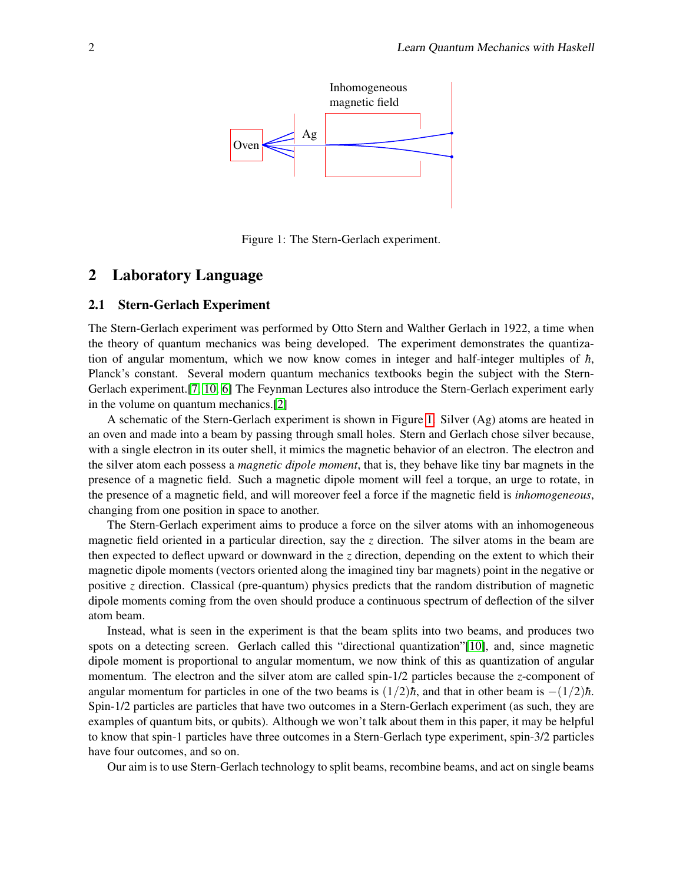

<span id="page-1-1"></span>Figure 1: The Stern-Gerlach experiment.

### <span id="page-1-0"></span>2 Laboratory Language

#### 2.1 Stern-Gerlach Experiment

The Stern-Gerlach experiment was performed by Otto Stern and Walther Gerlach in 1922, a time when the theory of quantum mechanics was being developed. The experiment demonstrates the quantization of angular momentum, which we now know comes in integer and half-integer multiples of  $\hbar$ , Planck's constant. Several modern quantum mechanics textbooks begin the subject with the Stern-Gerlach experiment.[\[7,](#page-14-4) [10,](#page-14-5) [6\]](#page-14-6) The Feynman Lectures also introduce the Stern-Gerlach experiment early in the volume on quantum mechanics.[\[2\]](#page-14-7)

A schematic of the Stern-Gerlach experiment is shown in Figure [1.](#page-1-1) Silver (Ag) atoms are heated in an oven and made into a beam by passing through small holes. Stern and Gerlach chose silver because, with a single electron in its outer shell, it mimics the magnetic behavior of an electron. The electron and the silver atom each possess a *magnetic dipole moment*, that is, they behave like tiny bar magnets in the presence of a magnetic field. Such a magnetic dipole moment will feel a torque, an urge to rotate, in the presence of a magnetic field, and will moreover feel a force if the magnetic field is *inhomogeneous*, changing from one position in space to another.

The Stern-Gerlach experiment aims to produce a force on the silver atoms with an inhomogeneous magnetic field oriented in a particular direction, say the *z* direction. The silver atoms in the beam are then expected to deflect upward or downward in the *z* direction, depending on the extent to which their magnetic dipole moments (vectors oriented along the imagined tiny bar magnets) point in the negative or positive *z* direction. Classical (pre-quantum) physics predicts that the random distribution of magnetic dipole moments coming from the oven should produce a continuous spectrum of deflection of the silver atom beam.

Instead, what is seen in the experiment is that the beam splits into two beams, and produces two spots on a detecting screen. Gerlach called this "directional quantization"[\[10\]](#page-14-5), and, since magnetic dipole moment is proportional to angular momentum, we now think of this as quantization of angular momentum. The electron and the silver atom are called spin-1/2 particles because the *z*-component of angular momentum for particles in one of the two beams is  $(1/2)\hbar$ , and that in other beam is  $-(1/2)\hbar$ . Spin-1/2 particles are particles that have two outcomes in a Stern-Gerlach experiment (as such, they are examples of quantum bits, or qubits). Although we won't talk about them in this paper, it may be helpful to know that spin-1 particles have three outcomes in a Stern-Gerlach type experiment, spin-3/2 particles have four outcomes, and so on.

Our aim is to use Stern-Gerlach technology to split beams, recombine beams, and act on single beams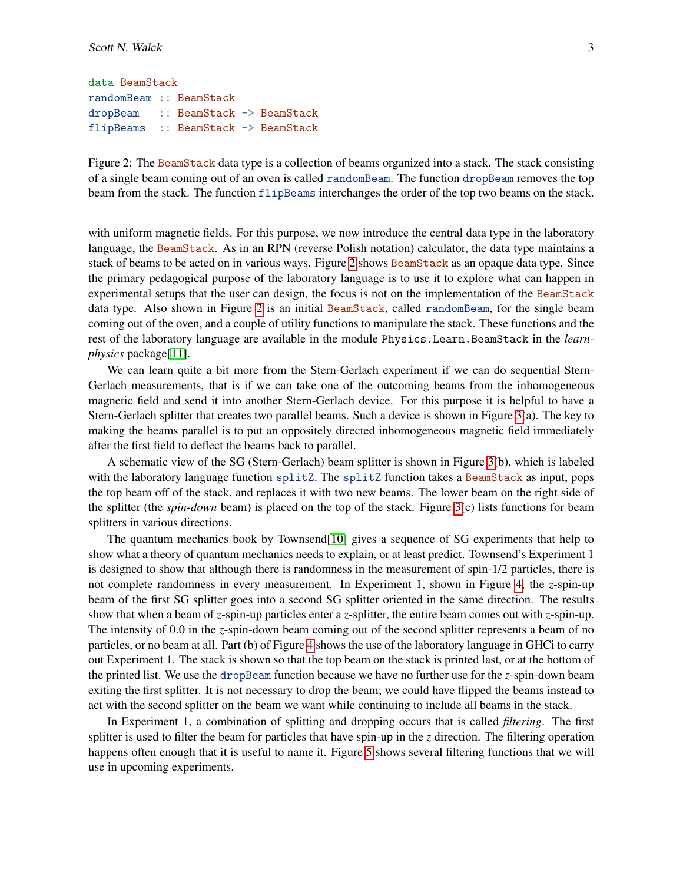```
data BeamStack
randomBeam :: BeamStack
dropBeam :: BeamStack -> BeamStack
flipBeams :: BeamStack -> BeamStack
```
<span id="page-2-0"></span>Figure 2: The BeamStack data type is a collection of beams organized into a stack. The stack consisting of a single beam coming out of an oven is called randomBeam. The function dropBeam removes the top beam from the stack. The function flipBeams interchanges the order of the top two beams on the stack.

with uniform magnetic fields. For this purpose, we now introduce the central data type in the laboratory language, the BeamStack. As in an RPN (reverse Polish notation) calculator, the data type maintains a stack of beams to be acted on in various ways. Figure [2](#page-2-0) shows BeamStack as an opaque data type. Since the primary pedagogical purpose of the laboratory language is to use it to explore what can happen in experimental setups that the user can design, the focus is not on the implementation of the BeamStack data type. Also shown in Figure [2](#page-2-0) is an initial BeamStack, called randomBeam, for the single beam coming out of the oven, and a couple of utility functions to manipulate the stack. These functions and the rest of the laboratory language are available in the module Physics.Learn.BeamStack in the *learnphysics* package[\[11\]](#page-14-8).

We can learn quite a bit more from the Stern-Gerlach experiment if we can do sequential Stern-Gerlach measurements, that is if we can take one of the outcoming beams from the inhomogeneous magnetic field and send it into another Stern-Gerlach device. For this purpose it is helpful to have a Stern-Gerlach splitter that creates two parallel beams. Such a device is shown in Figure [3\(](#page-3-0)a). The key to making the beams parallel is to put an oppositely directed inhomogeneous magnetic field immediately after the first field to deflect the beams back to parallel.

A schematic view of the SG (Stern-Gerlach) beam splitter is shown in Figure [3\(](#page-3-0)b), which is labeled with the laboratory language function splitZ. The splitZ function takes a BeamStack as input, pops the top beam off of the stack, and replaces it with two new beams. The lower beam on the right side of the splitter (the *spin-down* beam) is placed on the top of the stack. Figure [3\(](#page-3-0)c) lists functions for beam splitters in various directions.

The quantum mechanics book by Townsend[\[10\]](#page-14-5) gives a sequence of SG experiments that help to show what a theory of quantum mechanics needs to explain, or at least predict. Townsend's Experiment 1 is designed to show that although there is randomness in the measurement of spin-1/2 particles, there is not complete randomness in every measurement. In Experiment 1, shown in Figure [4,](#page-4-0) the *z*-spin-up beam of the first SG splitter goes into a second SG splitter oriented in the same direction. The results show that when a beam of *z*-spin-up particles enter a *z*-splitter, the entire beam comes out with *z*-spin-up. The intensity of 0.0 in the *z*-spin-down beam coming out of the second splitter represents a beam of no particles, or no beam at all. Part (b) of Figure [4](#page-4-0) shows the use of the laboratory language in GHCi to carry out Experiment 1. The stack is shown so that the top beam on the stack is printed last, or at the bottom of the printed list. We use the dropBeam function because we have no further use for the *z*-spin-down beam exiting the first splitter. It is not necessary to drop the beam; we could have flipped the beams instead to act with the second splitter on the beam we want while continuing to include all beams in the stack.

In Experiment 1, a combination of splitting and dropping occurs that is called *filtering*. The first splitter is used to filter the beam for particles that have spin-up in the *z* direction. The filtering operation happens often enough that it is useful to name it. Figure [5](#page-5-0) shows several filtering functions that we will use in upcoming experiments.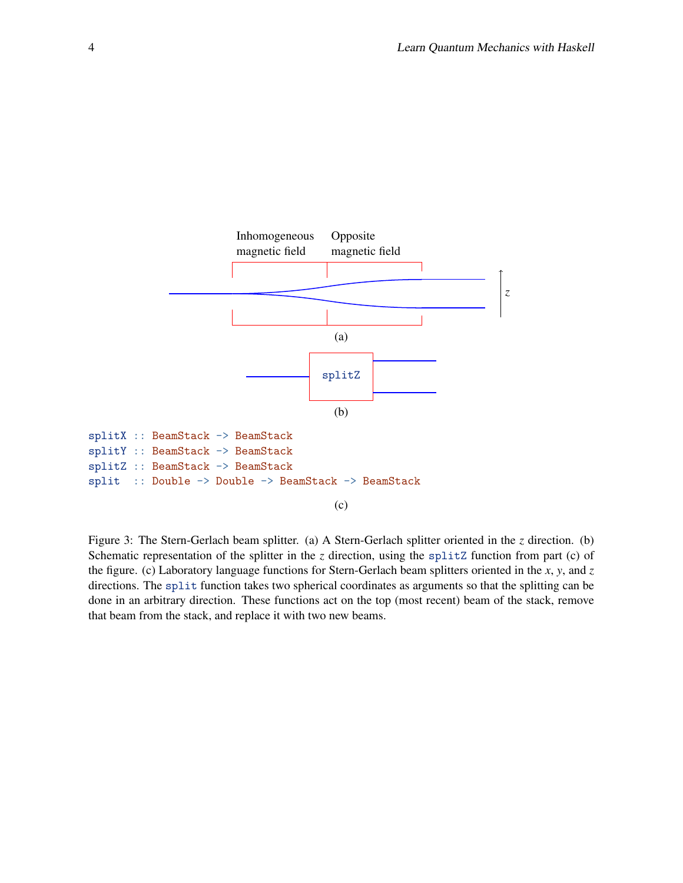

<span id="page-3-0"></span>Figure 3: The Stern-Gerlach beam splitter. (a) A Stern-Gerlach splitter oriented in the *z* direction. (b) Schematic representation of the splitter in the *z* direction, using the splitZ function from part (c) of the figure. (c) Laboratory language functions for Stern-Gerlach beam splitters oriented in the *x*, *y*, and *z* directions. The split function takes two spherical coordinates as arguments so that the splitting can be done in an arbitrary direction. These functions act on the top (most recent) beam of the stack, remove that beam from the stack, and replace it with two new beams.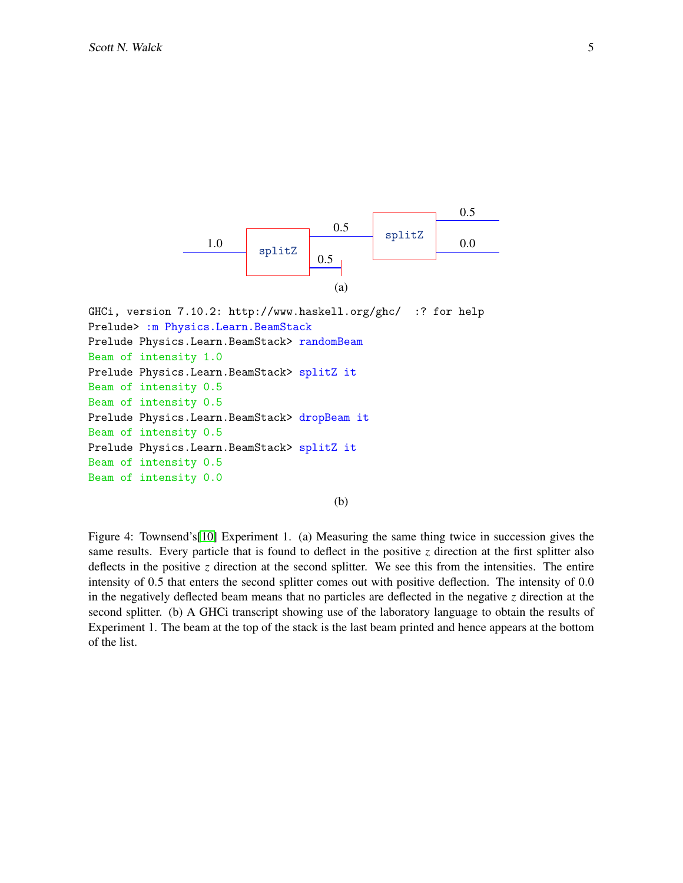

GHCi, version 7.10.2: http://www.haskell.org/ghc/ :? for help Prelude> :m Physics.Learn.BeamStack Prelude Physics.Learn.BeamStack> randomBeam Beam of intensity 1.0 Prelude Physics.Learn.BeamStack> splitZ it Beam of intensity 0.5 Beam of intensity 0.5 Prelude Physics.Learn.BeamStack> dropBeam it Beam of intensity 0.5 Prelude Physics.Learn.BeamStack> splitZ it Beam of intensity 0.5 Beam of intensity 0.0

(b)

<span id="page-4-0"></span>Figure 4: Townsend's[\[10\]](#page-14-5) Experiment 1. (a) Measuring the same thing twice in succession gives the same results. Every particle that is found to deflect in the positive  $\zeta$  direction at the first splitter also deflects in the positive *z* direction at the second splitter. We see this from the intensities. The entire intensity of 0.5 that enters the second splitter comes out with positive deflection. The intensity of 0.0 in the negatively deflected beam means that no particles are deflected in the negative *z* direction at the second splitter. (b) A GHCi transcript showing use of the laboratory language to obtain the results of Experiment 1. The beam at the top of the stack is the last beam printed and hence appears at the bottom of the list.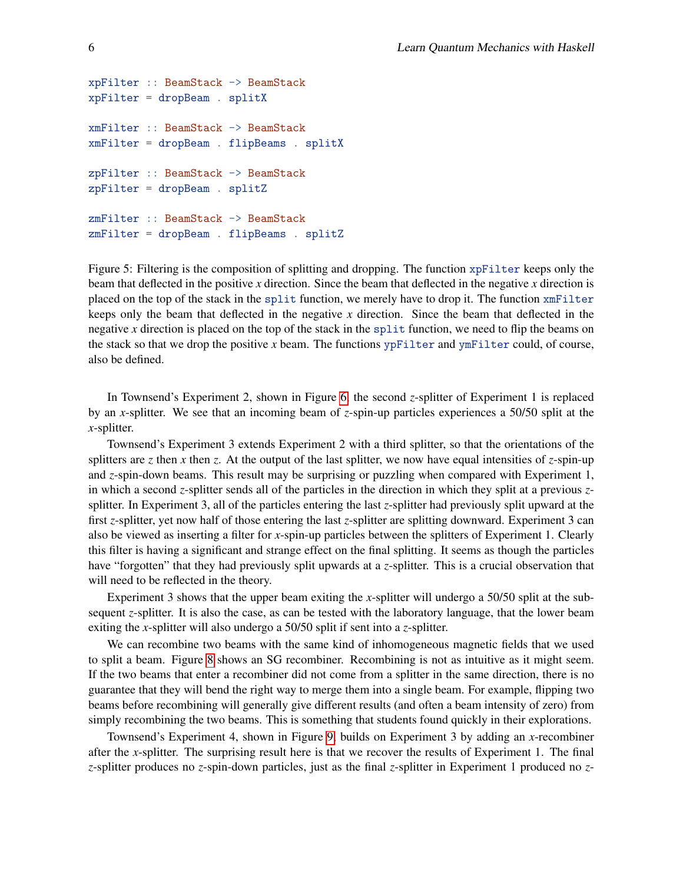```
xpFilter :: BeamStack -> BeamStack
xpFilter = dropBeam . splitX
xmFilter :: BeamStack -> BeamStack
xmFilter = dropBeam . flipBeams . splitX
zpFilter :: BeamStack -> BeamStack
zpFilter = dropBeam . splitZ
zmFilter :: BeamStack -> BeamStack
zmFilter = dropBeam . flipBeams . splitZ
```
<span id="page-5-0"></span>Figure 5: Filtering is the composition of splitting and dropping. The function xpFilter keeps only the beam that deflected in the positive *x* direction. Since the beam that deflected in the negative *x* direction is placed on the top of the stack in the split function, we merely have to drop it. The function xmFilter keeps only the beam that deflected in the negative *x* direction. Since the beam that deflected in the negative *x* direction is placed on the top of the stack in the split function, we need to flip the beams on the stack so that we drop the positive *x* beam. The functions ypFilter and ymFilter could, of course, also be defined.

In Townsend's Experiment 2, shown in Figure [6,](#page-6-0) the second *z*-splitter of Experiment 1 is replaced by an *x*-splitter. We see that an incoming beam of *z*-spin-up particles experiences a 50/50 split at the *x*-splitter.

Townsend's Experiment 3 extends Experiment 2 with a third splitter, so that the orientations of the splitters are *z* then *x* then *z*. At the output of the last splitter, we now have equal intensities of *z*-spin-up and *z*-spin-down beams. This result may be surprising or puzzling when compared with Experiment 1, in which a second *z*-splitter sends all of the particles in the direction in which they split at a previous *z*splitter. In Experiment 3, all of the particles entering the last *z*-splitter had previously split upward at the first *z*-splitter, yet now half of those entering the last *z*-splitter are splitting downward. Experiment 3 can also be viewed as inserting a filter for *x*-spin-up particles between the splitters of Experiment 1. Clearly this filter is having a significant and strange effect on the final splitting. It seems as though the particles have "forgotten" that they had previously split upwards at a *z*-splitter. This is a crucial observation that will need to be reflected in the theory.

Experiment 3 shows that the upper beam exiting the *x*-splitter will undergo a 50/50 split at the subsequent *z*-splitter. It is also the case, as can be tested with the laboratory language, that the lower beam exiting the *x*-splitter will also undergo a 50/50 split if sent into a *z*-splitter.

We can recombine two beams with the same kind of inhomogeneous magnetic fields that we used to split a beam. Figure [8](#page-8-0) shows an SG recombiner. Recombining is not as intuitive as it might seem. If the two beams that enter a recombiner did not come from a splitter in the same direction, there is no guarantee that they will bend the right way to merge them into a single beam. For example, flipping two beams before recombining will generally give different results (and often a beam intensity of zero) from simply recombining the two beams. This is something that students found quickly in their explorations.

Townsend's Experiment 4, shown in Figure [9,](#page-9-0) builds on Experiment 3 by adding an *x*-recombiner after the *x*-splitter. The surprising result here is that we recover the results of Experiment 1. The final *z*-splitter produces no *z*-spin-down particles, just as the final *z*-splitter in Experiment 1 produced no *z*-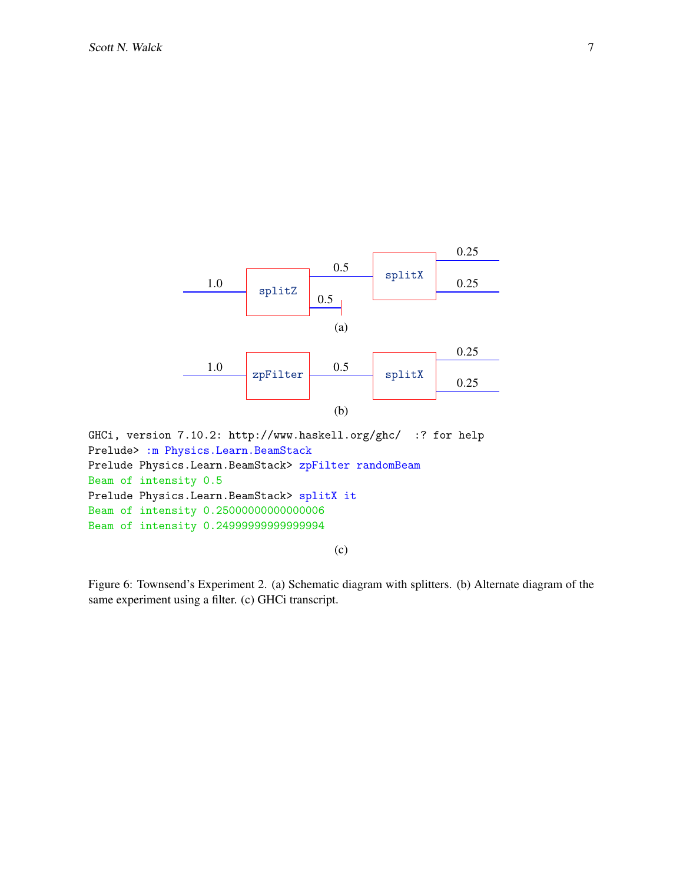

Prelude Physics.Learn.BeamStack> zpFilter randomBeam Beam of intensity 0.5 Prelude Physics.Learn.BeamStack> splitX it Beam of intensity 0.25000000000000006 Beam of intensity 0.24999999999999994

(c)

<span id="page-6-0"></span>Figure 6: Townsend's Experiment 2. (a) Schematic diagram with splitters. (b) Alternate diagram of the same experiment using a filter. (c) GHCi transcript.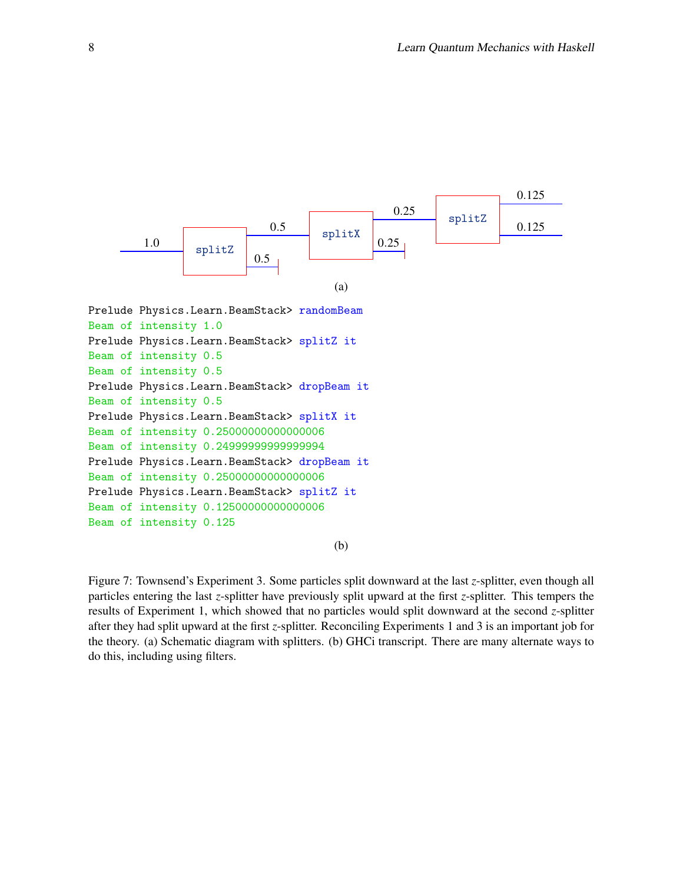

```
Beam of intensity 0.5
Beam of intensity 0.5
Prelude Physics.Learn.BeamStack> dropBeam it
Beam of intensity 0.5
Prelude Physics.Learn.BeamStack> splitX it
Beam of intensity 0.25000000000000006
Beam of intensity 0.24999999999999994
Prelude Physics.Learn.BeamStack> dropBeam it
Beam of intensity 0.25000000000000006
Prelude Physics.Learn.BeamStack> splitZ it
Beam of intensity 0.12500000000000006
Beam of intensity 0.125
```
(b)

Figure 7: Townsend's Experiment 3. Some particles split downward at the last *z*-splitter, even though all particles entering the last *z*-splitter have previously split upward at the first *z*-splitter. This tempers the results of Experiment 1, which showed that no particles would split downward at the second *z*-splitter after they had split upward at the first *z*-splitter. Reconciling Experiments 1 and 3 is an important job for the theory. (a) Schematic diagram with splitters. (b) GHCi transcript. There are many alternate ways to do this, including using filters.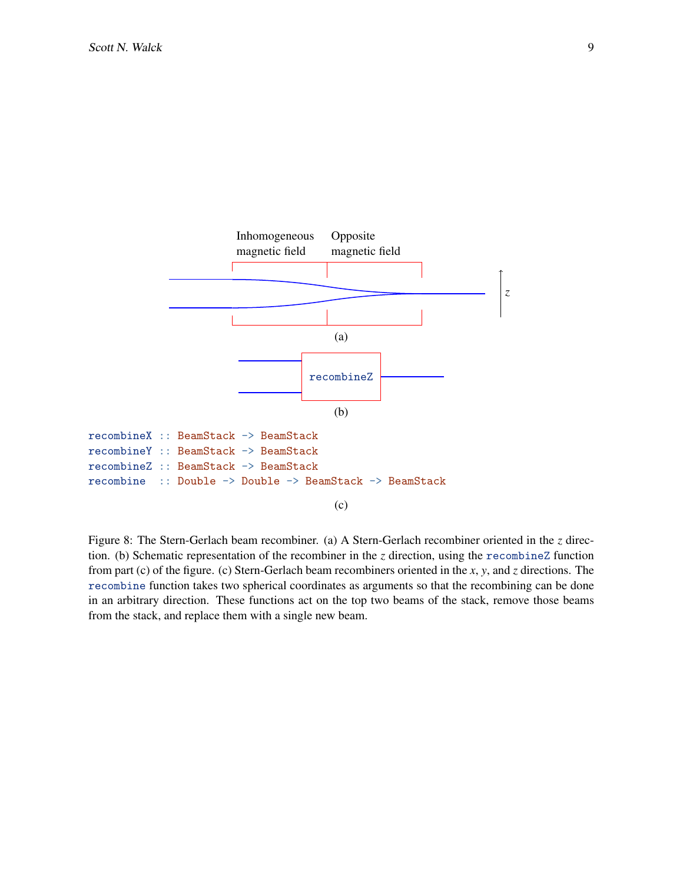

<span id="page-8-0"></span>Figure 8: The Stern-Gerlach beam recombiner. (a) A Stern-Gerlach recombiner oriented in the *z* direction. (b) Schematic representation of the recombiner in the *z* direction, using the recombineZ function from part (c) of the figure. (c) Stern-Gerlach beam recombiners oriented in the *x*, *y*, and *z* directions. The recombine function takes two spherical coordinates as arguments so that the recombining can be done in an arbitrary direction. These functions act on the top two beams of the stack, remove those beams from the stack, and replace them with a single new beam.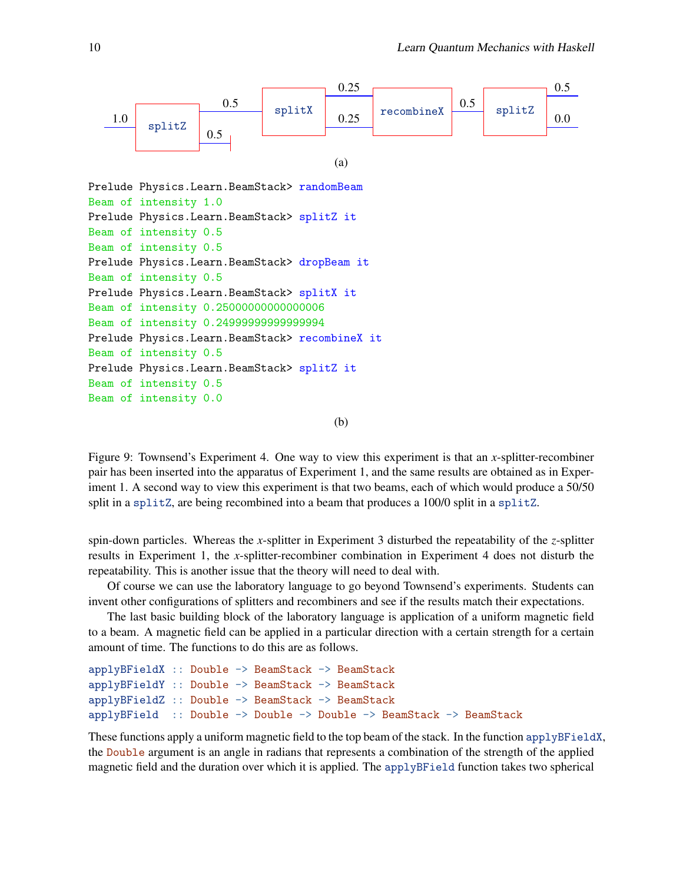

<span id="page-9-0"></span>Figure 9: Townsend's Experiment 4. One way to view this experiment is that an *x*-splitter-recombiner pair has been inserted into the apparatus of Experiment 1, and the same results are obtained as in Experiment 1. A second way to view this experiment is that two beams, each of which would produce a 50/50 split in a splitZ, are being recombined into a beam that produces a 100/0 split in a splitZ.

spin-down particles. Whereas the *x*-splitter in Experiment 3 disturbed the repeatability of the *z*-splitter results in Experiment 1, the *x*-splitter-recombiner combination in Experiment 4 does not disturb the repeatability. This is another issue that the theory will need to deal with.

Of course we can use the laboratory language to go beyond Townsend's experiments. Students can invent other configurations of splitters and recombiners and see if the results match their expectations.

The last basic building block of the laboratory language is application of a uniform magnetic field to a beam. A magnetic field can be applied in a particular direction with a certain strength for a certain amount of time. The functions to do this are as follows.

```
applyBFieldX :: Double -> BeamStack -> BeamStack
applyBFieldY :: Double -> BeamStack -> BeamStack
applyBFieldZ :: Double -> BeamStack -> BeamStack
applyBField :: Double -> Double -> Double -> BeamStack -> BeamStack
```
These functions apply a uniform magnetic field to the top beam of the stack. In the function applyBFieldX, the Double argument is an angle in radians that represents a combination of the strength of the applied magnetic field and the duration over which it is applied. The applyBField function takes two spherical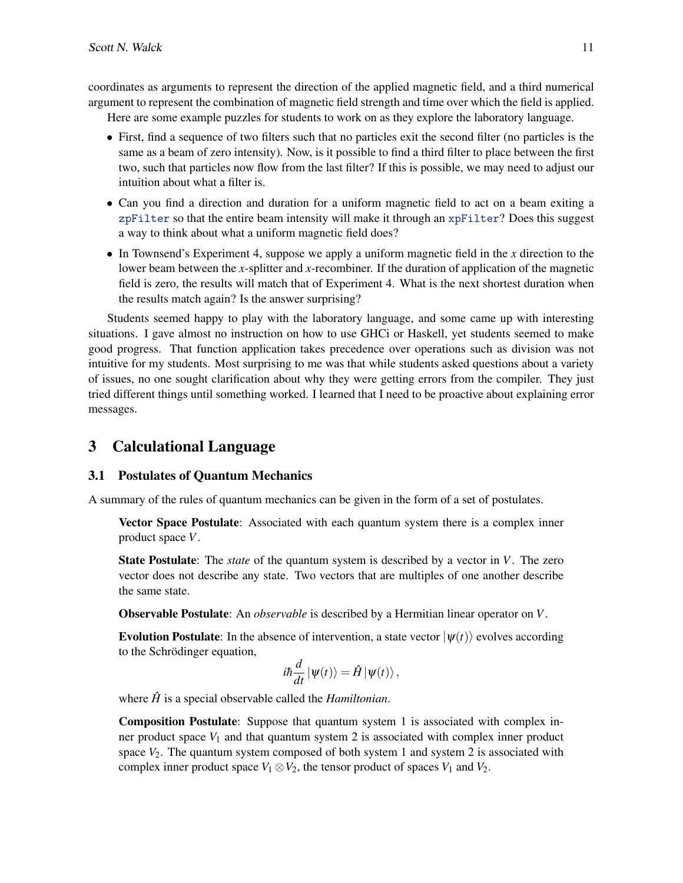coordinates as arguments to represent the direction of the applied magnetic field, and a third numerical argument to represent the combination of magnetic field strength and time over which the field is applied.

Here are some example puzzles for students to work on as they explore the laboratory language.

- First, find a sequence of two filters such that no particles exit the second filter (no particles is the same as a beam of zero intensity). Now, is it possible to find a third filter to place between the first two, such that particles now flow from the last filter? If this is possible, we may need to adjust our intuition about what a filter is.
- Can you find a direction and duration for a uniform magnetic field to act on a beam exiting a zpFilter so that the entire beam intensity will make it through an xpFilter? Does this suggest a way to think about what a uniform magnetic field does?
- In Townsend's Experiment 4, suppose we apply a uniform magnetic field in the *x* direction to the lower beam between the *x*-splitter and *x*-recombiner. If the duration of application of the magnetic field is zero, the results will match that of Experiment 4. What is the next shortest duration when the results match again? Is the answer surprising?

Students seemed happy to play with the laboratory language, and some came up with interesting situations. I gave almost no instruction on how to use GHCi or Haskell, yet students seemed to make good progress. That function application takes precedence over operations such as division was not intuitive for my students. Most surprising to me was that while students asked questions about a variety of issues, no one sought clarification about why they were getting errors from the compiler. They just tried different things until something worked. I learned that I need to be proactive about explaining error messages.

## <span id="page-10-0"></span>3 Calculational Language

## 3.1 Postulates of Quantum Mechanics

A summary of the rules of quantum mechanics can be given in the form of a set of postulates.

Vector Space Postulate: Associated with each quantum system there is a complex inner product space *V*.

State Postulate: The *state* of the quantum system is described by a vector in *V*. The zero vector does not describe any state. Two vectors that are multiples of one another describe the same state.

Observable Postulate: An *observable* is described by a Hermitian linear operator on *V*.

**Evolution Postulate:** In the absence of intervention, a state vector  $|\psi(t)\rangle$  evolves according to the Schrödinger equation,

$$
i\hbar \frac{d}{dt} |\psi(t)\rangle = \hat{H} |\psi(t)\rangle,
$$

where  $\hat{H}$  is a special observable called the *Hamiltonian*.

Composition Postulate: Suppose that quantum system 1 is associated with complex inner product space  $V_1$  and that quantum system 2 is associated with complex inner product space  $V_2$ . The quantum system composed of both system 1 and system 2 is associated with complex inner product space  $V_1 \otimes V_2$ , the tensor product of spaces  $V_1$  and  $V_2$ .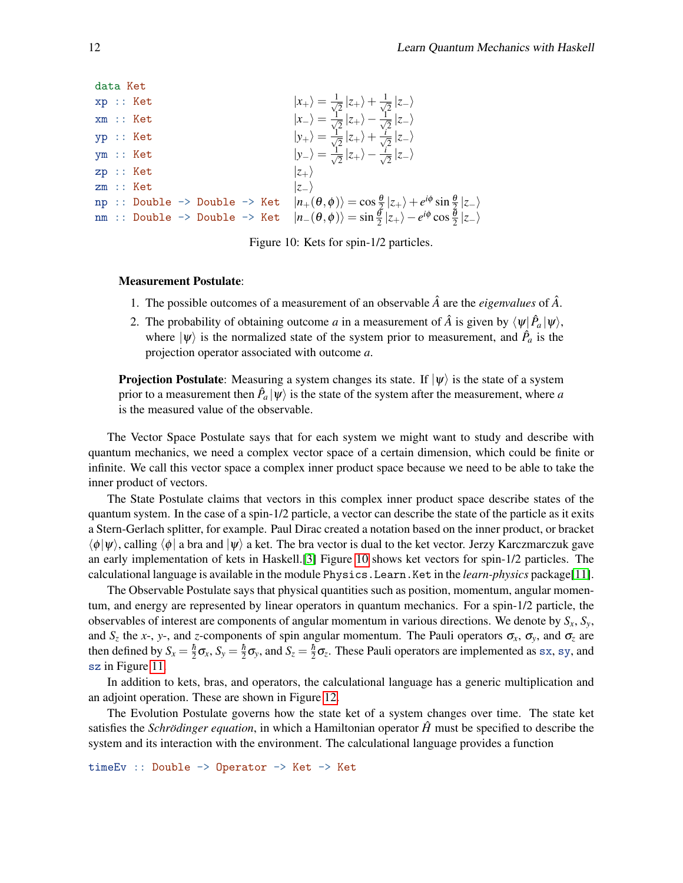```
data Ket
xp : : Ket |x_+\rangle = \frac{1}{\sqrt{2}}\frac{1}{2}|z_+\rangle+\frac{1}{\sqrt{2}}2
|z−i
xm :: Ket |x_-\rangle = \frac{1}{\sqrt{2}}\frac{1}{2}|z_+\rangle-\frac{1}{\sqrt{2}}2
|z−i
\langle y_+ \rangle = \frac{1}{\sqrt{2}}\frac{1}{2}|z_{+}\rangle + \frac{i}{\sqrt{2}}2
|z−i
\ket{y_-} = \frac{1}{\sqrt{2}}\frac{1}{2}|z_{+}\rangle-\frac{i}{\sqrt{2}}2
|z−i
zp :: Ket |z_{+}\ranglezm :: Ket |z−
\text{p } \text{ input } \Rightarrow \text{ Double} \Rightarrow \text{ Ket} \quad |n_+(\theta, \phi)\rangle = \text{cos} \frac{\theta}{2} |z_+\rangle + e^{i\phi} \sin \frac{\theta}{2} |z_-\rangle\texttt{mm} :: Double -> Double -> Ket |n_{-}(\theta,\phi)\rangle = \sin\frac{\theta}{2}|z_{+}\rangle - e^{i\phi}\cos\frac{\theta}{2}|z_{-}\rangle
```
<span id="page-11-0"></span>Figure 10: Kets for spin-1/2 particles.

#### Measurement Postulate:

- 1. The possible outcomes of a measurement of an observable  $\hat{A}$  are the *eigenvalues* of  $\hat{A}$ .
- 2. The probability of obtaining outcome *a* in a measurement of  $\hat{A}$  is given by  $\langle \psi | \hat{P}_a | \psi \rangle$ , where  $|\psi\rangle$  is the normalized state of the system prior to measurement, and  $\hat{P}_a$  is the projection operator associated with outcome *a*.

**Projection Postulate:** Measuring a system changes its state. If  $|\psi\rangle$  is the state of a system prior to a measurement then  $\hat{P}_a|\psi\rangle$  is the state of the system after the measurement, where  $a$ is the measured value of the observable.

The Vector Space Postulate says that for each system we might want to study and describe with quantum mechanics, we need a complex vector space of a certain dimension, which could be finite or infinite. We call this vector space a complex inner product space because we need to be able to take the inner product of vectors.

The State Postulate claims that vectors in this complex inner product space describe states of the quantum system. In the case of a spin-1/2 particle, a vector can describe the state of the particle as it exits a Stern-Gerlach splitter, for example. Paul Dirac created a notation based on the inner product, or bracket  $\langle \phi | \psi \rangle$ , calling  $\langle \phi | \phi \rangle$  a ket. The bra vector is dual to the ket vector. Jerzy Karczmarczuk gave an early implementation of kets in Haskell.[\[3\]](#page-14-9) Figure [10](#page-11-0) shows ket vectors for spin-1/2 particles. The calculational language is available in the module Physics.Learn.Ket in the *learn-physics* package[\[11\]](#page-14-8).

The Observable Postulate says that physical quantities such as position, momentum, angular momentum, and energy are represented by linear operators in quantum mechanics. For a spin-1/2 particle, the observables of interest are components of angular momentum in various directions. We denote by *Sx*, *Sy*, and  $S_z$  the *x*-, *y*-, and *z*-components of spin angular momentum. The Pauli operators  $\sigma_x$ ,  $\sigma_y$ , and  $\sigma_z$  are then defined by  $S_x = \frac{\hbar}{2}\sigma_x$ ,  $S_y = \frac{\hbar}{2}\sigma_y$ , and  $S_z = \frac{\hbar}{2}\sigma_z$ . These Pauli operators are implemented as sx, sy, and sz in Figure [11.](#page-12-1)

In addition to kets, bras, and operators, the calculational language has a generic multiplication and an adjoint operation. These are shown in Figure [12.](#page-12-2)

The Evolution Postulate governs how the state ket of a system changes over time. The state ket satisfies the *Schrödinger equation*, in which a Hamiltonian operator  $\hat{H}$  must be specified to describe the system and its interaction with the environment. The calculational language provides a function

timeEv :: Double -> Operator -> Ket -> Ket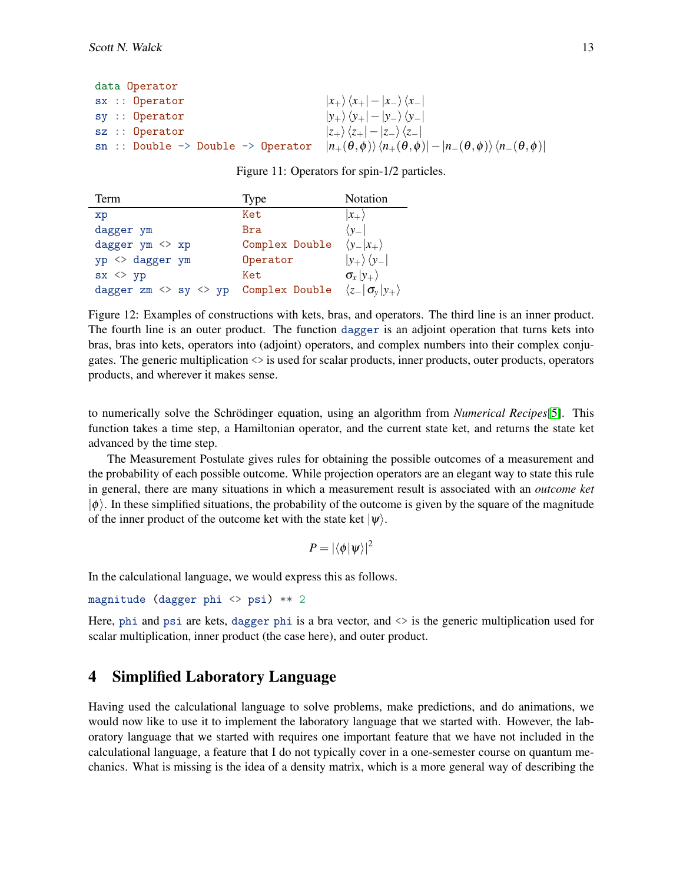| data Operator                                              |                                                                                                                                                           |
|------------------------------------------------------------|-----------------------------------------------------------------------------------------------------------------------------------------------------------|
| $sx ::$ Operator                                           | $ x_{+}\rangle\langle x_{+}  -  x_{-}\rangle\langle x_{-} $                                                                                               |
| $sy ::$ Operator                                           | $ y_{+}\rangle\langle y_{+} - y_{-}\rangle\langle y_{-} $                                                                                                 |
| $sz ::$ Operator                                           | $ z_{+}\rangle\langle z_{+} - z_{-}\rangle\langle z_{-} $                                                                                                 |
| $sn$ :: Double $\rightarrow$ Double $\rightarrow$ Operator | $\left n_{+}(\theta,\phi)\right\rangle\left\langle n_{+}(\theta,\phi)\right -\left n_{-}(\theta,\phi)\right\rangle\left\langle n_{-}(\theta,\phi)\right $ |

<span id="page-12-1"></span>Figure 11: Operators for spin-1/2 particles.

| Term                                              | Type           | Notation                          |
|---------------------------------------------------|----------------|-----------------------------------|
| xp                                                | Ket            | $ x_{+}\rangle$                   |
| dagger ym                                         | Bra            | $\langle y_- $                    |
| dagger ym <> xp                                   | Complex Double | $\langle y_- x_+\rangle$          |
| yp <> dagger ym                                   | Operator       | $ y_{+}\rangle\langle y_{-} $     |
| $sx \Leftrightarrow yp$                           | Ket            | $\sigma_{x} y_{+}\rangle$         |
| dagger $zm \Leftrightarrow sy \Leftrightarrow yp$ | Complex Double | $\langle z_- \sigma_y y_+\rangle$ |

<span id="page-12-2"></span>Figure 12: Examples of constructions with kets, bras, and operators. The third line is an inner product. The fourth line is an outer product. The function dagger is an adjoint operation that turns kets into bras, bras into kets, operators into (adjoint) operators, and complex numbers into their complex conjugates. The generic multiplication <> is used for scalar products, inner products, outer products, operators products, and wherever it makes sense.

to numerically solve the Schrödinger equation, using an algorithm from *Numerical Recipes*[\[5\]](#page-14-10). This function takes a time step, a Hamiltonian operator, and the current state ket, and returns the state ket advanced by the time step.

The Measurement Postulate gives rules for obtaining the possible outcomes of a measurement and the probability of each possible outcome. While projection operators are an elegant way to state this rule in general, there are many situations in which a measurement result is associated with an *outcome ket*  $|\phi\rangle$ . In these simplified situations, the probability of the outcome is given by the square of the magnitude of the inner product of the outcome ket with the state ket  $|\psi\rangle$ .

$$
P = |\langle \phi | \psi \rangle|^2
$$

In the calculational language, we would express this as follows.

```
magnitude (dagger phi <> psi) ** 2
```
Here, phi and psi are kets, dagger phi is a bra vector, and <> is the generic multiplication used for scalar multiplication, inner product (the case here), and outer product.

## <span id="page-12-0"></span>4 Simplified Laboratory Language

Having used the calculational language to solve problems, make predictions, and do animations, we would now like to use it to implement the laboratory language that we started with. However, the laboratory language that we started with requires one important feature that we have not included in the calculational language, a feature that I do not typically cover in a one-semester course on quantum mechanics. What is missing is the idea of a density matrix, which is a more general way of describing the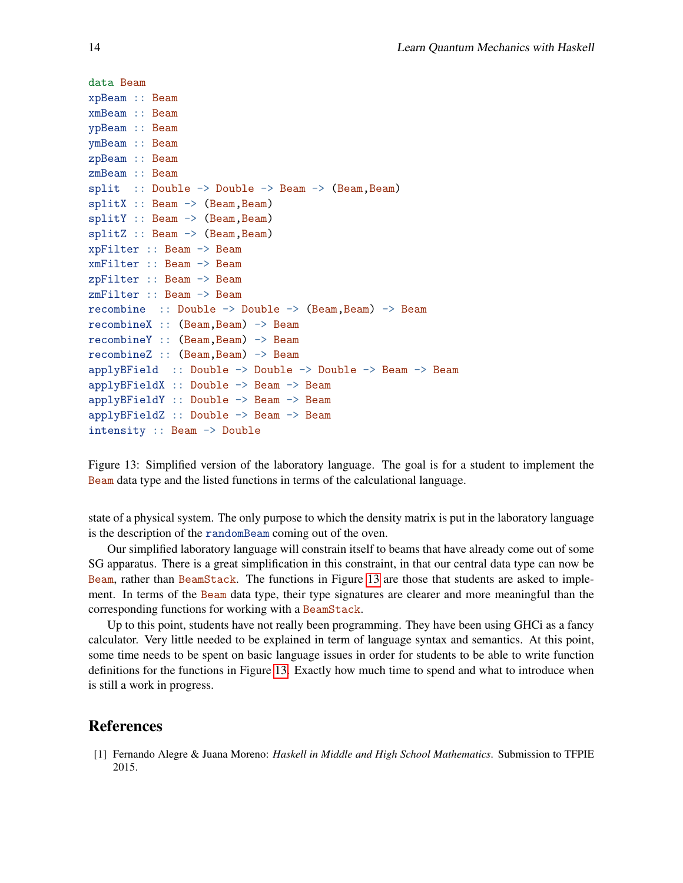```
data Beam
xpBeam :: Beam
xmBeam :: Beam
ypBeam :: Beam
ymBeam :: Beam
zpBeam :: Beam
zmBeam :: Beam
split :: Double \rightarrow Double \rightarrow Beam \rightarrow (Beam, Beam)
splitX :: Beam \rightarrow (Beam, Beam)splitY :: Beam \rightarrow (Beam, Beam)
splitZ :: Beam -> (Beam, Beam)
xpFilter :: Beam -> Beam
xmFilter :: Beam -> Beam
zpFilter :: Beam -> Beam
zmFilter :: Beam -> Beam
recombine :: Double \rightarrow Double \rightarrow (Beam, Beam) \rightarrow Beam
recombineX :: (Beam,Beam) -> Beam
recombineY :: (Beam,Beam) -> Beam
recombineZ :: (Beam,Beam) -> Beam
applyBField :: Double -> Double -> Double -> Beam -> Beam
applyBFieldX :: Double -> Beam -> Beam
applyBFieldY :: Double -> Beam -> Beam
applyBFieldZ :: Double -> Beam -> Beam
intensity :: Beam -> Double
```
<span id="page-13-1"></span>Figure 13: Simplified version of the laboratory language. The goal is for a student to implement the Beam data type and the listed functions in terms of the calculational language.

state of a physical system. The only purpose to which the density matrix is put in the laboratory language is the description of the randomBeam coming out of the oven.

Our simplified laboratory language will constrain itself to beams that have already come out of some SG apparatus. There is a great simplification in this constraint, in that our central data type can now be Beam, rather than BeamStack. The functions in Figure [13](#page-13-1) are those that students are asked to implement. In terms of the Beam data type, their type signatures are clearer and more meaningful than the corresponding functions for working with a BeamStack.

Up to this point, students have not really been programming. They have been using GHCi as a fancy calculator. Very little needed to be explained in term of language syntax and semantics. At this point, some time needs to be spent on basic language issues in order for students to be able to write function definitions for the functions in Figure [13.](#page-13-1) Exactly how much time to spend and what to introduce when is still a work in progress.

## References

<span id="page-13-0"></span>[1] Fernando Alegre & Juana Moreno: *Haskell in Middle and High School Mathematics*. Submission to TFPIE 2015.